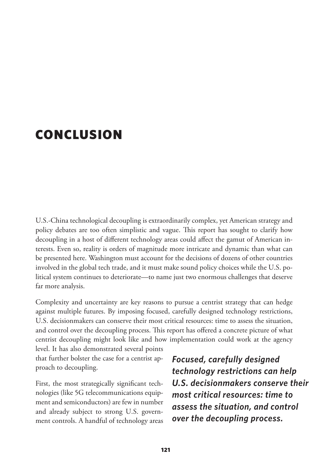## CONCLUSION

U.S.-China technological decoupling is extraordinarily complex, yet American strategy and policy debates are too often simplistic and vague. This report has sought to clarify how decoupling in a host of different technology areas could affect the gamut of American interests. Even so, reality is orders of magnitude more intricate and dynamic than what can be presented here. Washington must account for the decisions of dozens of other countries involved in the global tech trade, and it must make sound policy choices while the U.S. political system continues to deteriorate—to name just two enormous challenges that deserve far more analysis.

Complexity and uncertainty are key reasons to pursue a centrist strategy that can hedge against multiple futures. By imposing focused, carefully designed technology restrictions, U.S. decisionmakers can conserve their most critical resources: time to assess the situation, and control over the decoupling process. This report has offered a concrete picture of what centrist decoupling might look like and how implementation could work at the agency

level. It has also demonstrated several points that further bolster the case for a centrist approach to decoupling.

First, the most strategically significant technologies (like 5G telecommunications equipment and semiconductors) are few in number and already subject to strong U.S. government controls. A handful of technology areas *Focused, carefully designed technology restrictions can help U.S. decisionmakers conserve their most critical resources: time to assess the situation, and control over the decoupling process.*